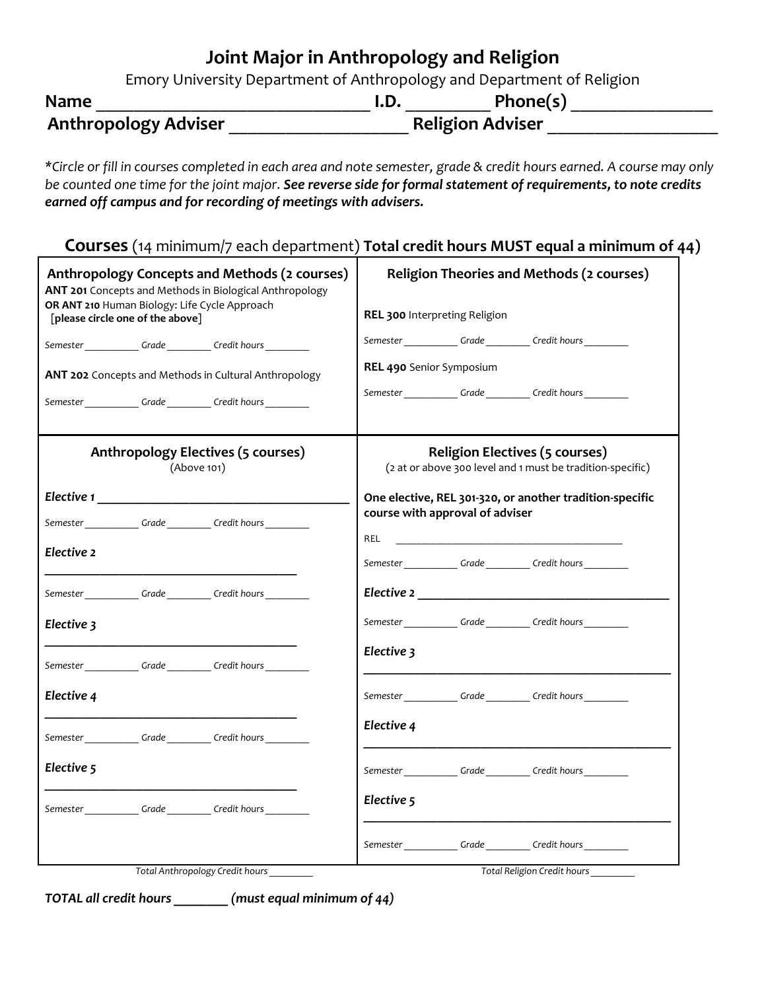# **Joint Major in Anthropology and Religion**

Emory University Department of Anthropology and Department of Religion

| <b>Name</b>                 | I.D.                    | Phone(s) |
|-----------------------------|-------------------------|----------|
| <b>Anthropology Adviser</b> | <b>Religion Adviser</b> |          |

*\*Circle or fill in courses completed in each area and note semester, grade & credit hours earned. A course may only be counted one time for the joint major. See reverse side for formal statement of requirements, to note credits earned off campus and for recording of meetings with advisers.* 

| Courses (14 minimum/7 each department) Total credit hours MUST equal a minimum of 44) |  |  |
|---------------------------------------------------------------------------------------|--|--|
|---------------------------------------------------------------------------------------|--|--|

| Anthropology Concepts and Methods (2 courses)<br>ANT 201 Concepts and Methods in Biological Anthropology<br>OR ANT 210 Human Biology: Life Cycle Approach<br>[please circle one of the above] | <b>Religion Theories and Methods (2 courses)</b><br>REL 300 Interpreting Religion                   |  |  |
|-----------------------------------------------------------------------------------------------------------------------------------------------------------------------------------------------|-----------------------------------------------------------------------------------------------------|--|--|
| Semester Crade Credit hours                                                                                                                                                                   | Semester Crade Credit hours                                                                         |  |  |
| ANT 202 Concepts and Methods in Cultural Anthropology                                                                                                                                         | REL 490 Senior Symposium                                                                            |  |  |
| Semester ______________Grade ___________Credit hours ___________                                                                                                                              | Semester Grade Credit hours                                                                         |  |  |
| Anthropology Electives (5 courses)<br>(Above 101)                                                                                                                                             | <b>Religion Electives (5 courses)</b><br>(2 at or above 300 level and 1 must be tradition-specific) |  |  |
|                                                                                                                                                                                               | One elective, REL 301-320, or another tradition-specific                                            |  |  |
| Semester _____________Grade ___________Credit hours ____________                                                                                                                              | course with approval of adviser                                                                     |  |  |
| Elective 2                                                                                                                                                                                    | REL<br>Semester Grade Credit hours                                                                  |  |  |
| Semester Crade Credit hours                                                                                                                                                                   |                                                                                                     |  |  |
| Elective 3                                                                                                                                                                                    | Semester Grade Credit hours                                                                         |  |  |
| Semester ______________Grade ___________Credit hours __________                                                                                                                               | Elective 3                                                                                          |  |  |
| Elective 4                                                                                                                                                                                    | Semester Grade Credit hours                                                                         |  |  |
| Semester Crade Credit hours                                                                                                                                                                   | Elective 4                                                                                          |  |  |
| Elective 5                                                                                                                                                                                    | Semester _____________Grade ___________Credit hours ___________                                     |  |  |
| Semester ______________Grade ___________Credit hours ____________                                                                                                                             | Elective 5                                                                                          |  |  |
|                                                                                                                                                                                               | Semester _____________Grade ___________Credit hours                                                 |  |  |
| Total Anthropology Credit hours                                                                                                                                                               | Total Religion Credit hours                                                                         |  |  |

*TOTAL all credit hours \_\_\_\_\_\_\_\_ (must equal minimum of 44)*